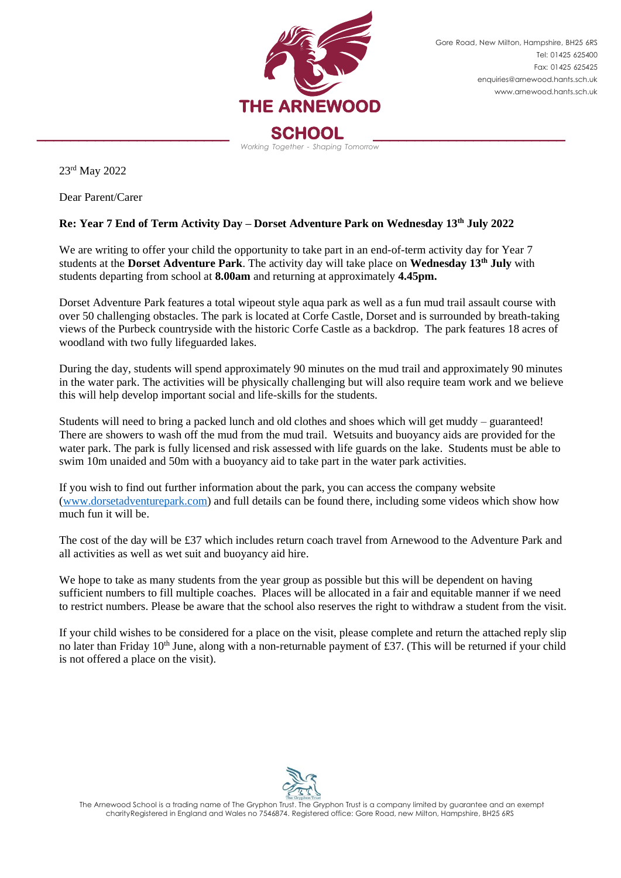

Gore Road, New Milton, Hampshire, BH25 6RS Tel: 01425 625400 Fax: 01425 625425 [enquiries@arnewood.hants.sch.uk](mailto:enquiries@arnewood.hants.sch.uk) [www.arnewood.hants.sch.uk](http://www.arnewood.hants.sch.uk/)

23rd May 2022

Dear Parent/Carer

## **Re: Year 7 End of Term Activity Day – Dorset Adventure Park on Wednesday 13th July 2022**

We are writing to offer your child the opportunity to take part in an end-of-term activity day for Year 7 students at the **Dorset Adventure Park**. The activity day will take place on **Wednesday 13th July** with students departing from school at **8.00am** and returning at approximately **4.45pm.**

Dorset Adventure Park features a total wipeout style aqua park as well as a fun mud trail assault course with over 50 challenging obstacles. The park is located at Corfe Castle, Dorset and is surrounded by breath-taking views of the Purbeck countryside with the historic Corfe Castle as a backdrop. The park features 18 acres of woodland with two fully lifeguarded lakes.

During the day, students will spend approximately 90 minutes on the mud trail and approximately 90 minutes in the water park. The activities will be physically challenging but will also require team work and we believe this will help develop important social and life-skills for the students.

Students will need to bring a packed lunch and old clothes and shoes which will get muddy – guaranteed! There are showers to wash off the mud from the mud trail. Wetsuits and buoyancy aids are provided for the water park. The park is fully licensed and risk assessed with life guards on the lake. Students must be able to swim 10m unaided and 50m with a buoyancy aid to take part in the water park activities.

If you wish to find out further information about the park, you can access the company website [\(www.dorsetadventurepark.com\)](http://www.dorsetadventurepark.com/) and full details can be found there, including some videos which show how much fun it will be.

The cost of the day will be £37 which includes return coach travel from Arnewood to the Adventure Park and all activities as well as wet suit and buoyancy aid hire.

We hope to take as many students from the year group as possible but this will be dependent on having sufficient numbers to fill multiple coaches. Places will be allocated in a fair and equitable manner if we need to restrict numbers. Please be aware that the school also reserves the right to withdraw a student from the visit.

If your child wishes to be considered for a place on the visit, please complete and return the attached reply slip no later than Friday 10<sup>th</sup> June, along with a non-returnable payment of £37. (This will be returned if your child is not offered a place on the visit).



The Arnewood School is a trading name of The Gryphon Trust. The Gryphon Trust is a company limited by guarantee and an exempt charityRegistered in England and Wales no 7546874. Registered office: Gore Road, new Milton, Hampshire, BH25 6RS